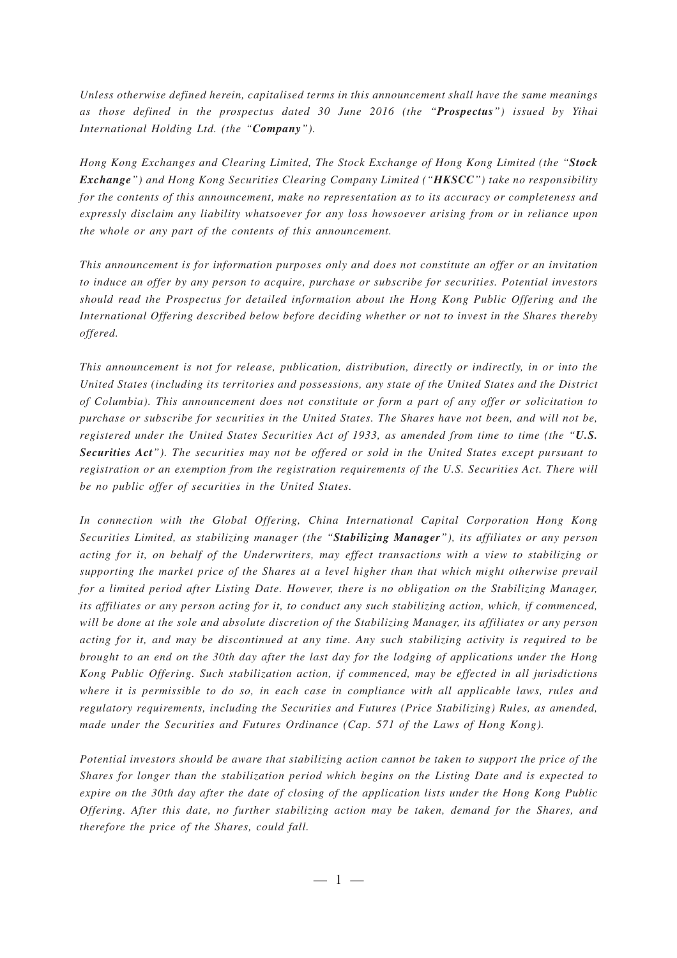*Unless otherwise defined herein, capitalised terms in this announcement shall have the same meanings as those defined in the prospectus dated 30 June 2016 (the "Prospectus") issued by Yihai International Holding Ltd. (the "Company").*

*Hong Kong Exchanges and Clearing Limited, The Stock Exchange of Hong Kong Limited (the "Stock Exchange") and Hong Kong Securities Clearing Company Limited ("HKSCC") take no responsibility for the contents of this announcement, make no representation as to its accuracy or completeness and expressly disclaim any liability whatsoever for any loss howsoever arising from or in reliance upon the whole or any part of the contents of this announcement.*

*This announcement is for information purposes only and does not constitute an offer or an invitation to induce an offer by any person to acquire, purchase or subscribe for securities. Potential investors should read the Prospectus for detailed information about the Hong Kong Public Offering and the International Offering described below before deciding whether or not to invest in the Shares thereby offered.*

*This announcement is not for release, publication, distribution, directly or indirectly, in or into the United States (including its territories and possessions, any state of the United States and the District of Columbia). This announcement does not constitute or form a part of any offer or solicitation to purchase or subscribe for securities in the United States. The Shares have not been, and will not be, registered under the United States Securities Act of 1933, as amended from time to time (the "U.S. Securities Act"). The securities may not be offered or sold in the United States except pursuant to registration or an exemption from the registration requirements of the U.S. Securities Act. There will be no public offer of securities in the United States.*

*In connection with the Global Offering, China International Capital Corporation Hong Kong Securities Limited, as stabilizing manager (the "Stabilizing Manager"), its affiliates or any person acting for it, on behalf of the Underwriters, may effect transactions with a view to stabilizing or supporting the market price of the Shares at a level higher than that which might otherwise prevail for a limited period after Listing Date. However, there is no obligation on the Stabilizing Manager, its affiliates or any person acting for it, to conduct any such stabilizing action, which, if commenced, will be done at the sole and absolute discretion of the Stabilizing Manager, its affiliates or any person acting for it, and may be discontinued at any time. Any such stabilizing activity is required to be brought to an end on the 30th day after the last day for the lodging of applications under the Hong Kong Public Offering. Such stabilization action, if commenced, may be effected in all jurisdictions where it is permissible to do so, in each case in compliance with all applicable laws, rules and regulatory requirements, including the Securities and Futures (Price Stabilizing) Rules, as amended, made under the Securities and Futures Ordinance (Cap. 571 of the Laws of Hong Kong).*

*Potential investors should be aware that stabilizing action cannot be taken to support the price of the Shares for longer than the stabilization period which begins on the Listing Date and is expected to expire on the 30th day after the date of closing of the application lists under the Hong Kong Public Offering. After this date, no further stabilizing action may be taken, demand for the Shares, and therefore the price of the Shares, could fall.*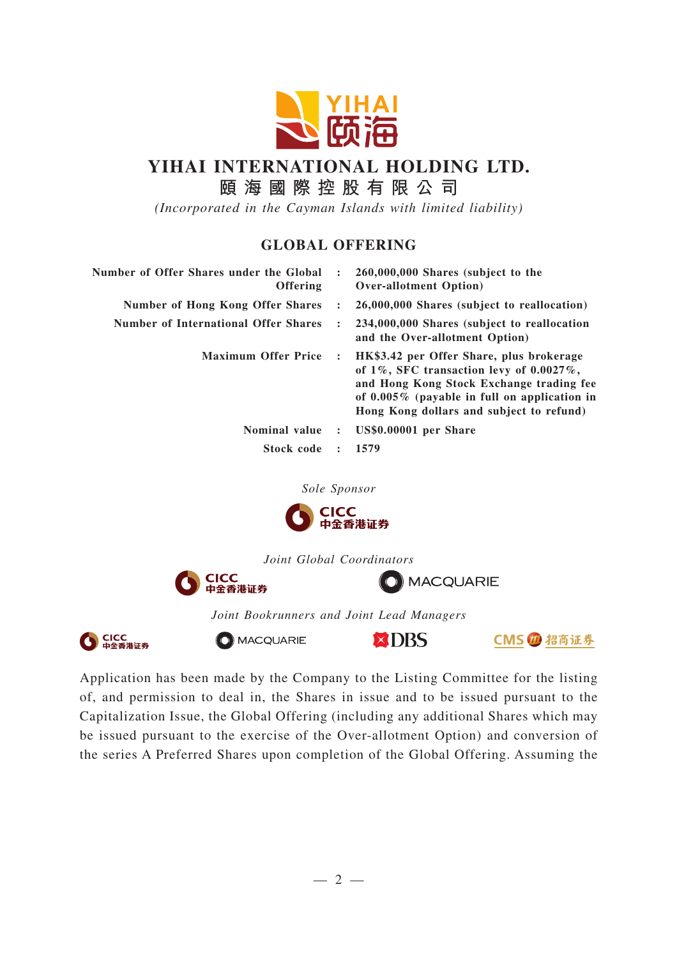

## **YIHAI INTERNATIONAL HOLDING LTD.**

**頤海國際控股有限公司**

*(Incorporated in the Cayman Islands with limited liability)*

## **GLOBAL OFFERING**

| $\ddot{\phantom{a}}$ | 260,000,000 Shares (subject to the<br><b>Over-allotment Option</b> )                                                                                                                                                                   |
|----------------------|----------------------------------------------------------------------------------------------------------------------------------------------------------------------------------------------------------------------------------------|
| $\ddot{\phantom{a}}$ | 26,000,000 Shares (subject to reallocation)                                                                                                                                                                                            |
| $\ddot{\phantom{a}}$ | 234,000,000 Shares (subject to reallocation<br>and the Over-allotment Option)                                                                                                                                                          |
| $\ddot{\cdot}$       | HK\$3.42 per Offer Share, plus brokerage<br>of $1\%$ , SFC transaction levy of $0.0027\%$ ,<br>and Hong Kong Stock Exchange trading fee<br>of $0.005\%$ (payable in full on application in<br>Hong Kong dollars and subject to refund) |
| $\sim$ 2000 $\sim$   | US\$0.00001 per Share                                                                                                                                                                                                                  |
| $\ddot{\cdot}$       | 1579                                                                                                                                                                                                                                   |
|                      |                                                                                                                                                                                                                                        |

*Sole Sponsor*



*Joint Global Coordinators*



O MACQUARIE



CMS 1 招商证券

**XDBS** 

*Joint Bookrunners and Joint Lead Managers*



Application has been made by the Company to the Listing Committee for the listing of, and permission to deal in, the Shares in issue and to be issued pursuant to the Capitalization Issue, the Global Offering (including any additional Shares which may be issued pursuant to the exercise of the Over-allotment Option) and conversion of the series A Preferred Shares upon completion of the Global Offering. Assuming the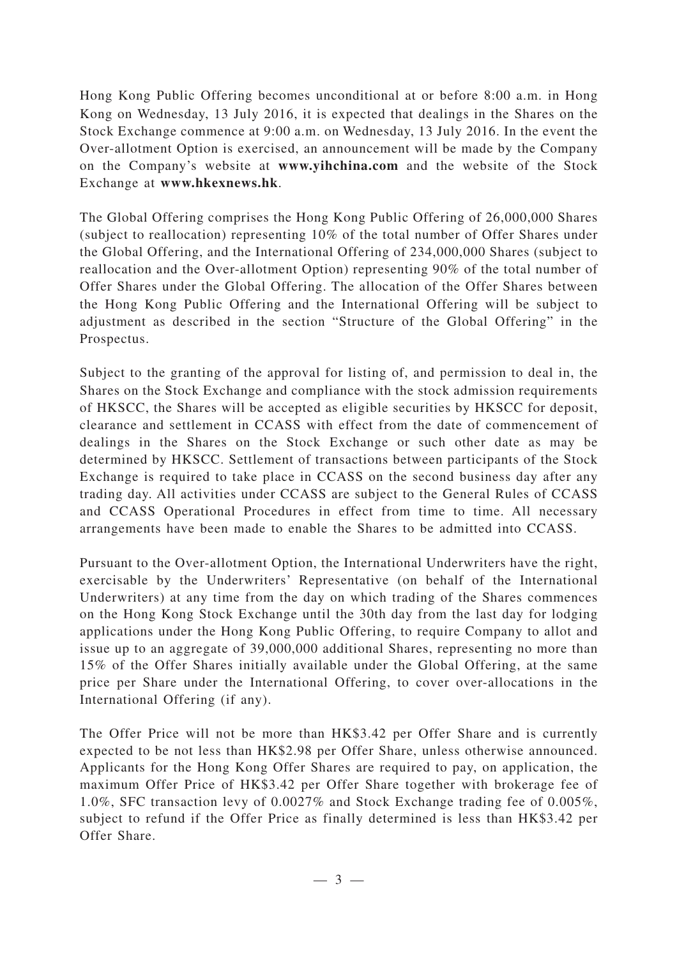Hong Kong Public Offering becomes unconditional at or before 8:00 a.m. in Hong Kong on Wednesday, 13 July 2016, it is expected that dealings in the Shares on the Stock Exchange commence at 9:00 a.m. on Wednesday, 13 July 2016. In the event the Over-allotment Option is exercised, an announcement will be made by the Company on the Company's website at **www.yihchina.com** and the website of the Stock Exchange at **www.hkexnews.hk**.

The Global Offering comprises the Hong Kong Public Offering of 26,000,000 Shares (subject to reallocation) representing 10% of the total number of Offer Shares under the Global Offering, and the International Offering of 234,000,000 Shares (subject to reallocation and the Over-allotment Option) representing 90% of the total number of Offer Shares under the Global Offering. The allocation of the Offer Shares between the Hong Kong Public Offering and the International Offering will be subject to adjustment as described in the section "Structure of the Global Offering" in the Prospectus.

Subject to the granting of the approval for listing of, and permission to deal in, the Shares on the Stock Exchange and compliance with the stock admission requirements of HKSCC, the Shares will be accepted as eligible securities by HKSCC for deposit, clearance and settlement in CCASS with effect from the date of commencement of dealings in the Shares on the Stock Exchange or such other date as may be determined by HKSCC. Settlement of transactions between participants of the Stock Exchange is required to take place in CCASS on the second business day after any trading day. All activities under CCASS are subject to the General Rules of CCASS and CCASS Operational Procedures in effect from time to time. All necessary arrangements have been made to enable the Shares to be admitted into CCASS.

Pursuant to the Over-allotment Option, the International Underwriters have the right, exercisable by the Underwriters' Representative (on behalf of the International Underwriters) at any time from the day on which trading of the Shares commences on the Hong Kong Stock Exchange until the 30th day from the last day for lodging applications under the Hong Kong Public Offering, to require Company to allot and issue up to an aggregate of 39,000,000 additional Shares, representing no more than 15% of the Offer Shares initially available under the Global Offering, at the same price per Share under the International Offering, to cover over-allocations in the International Offering (if any).

The Offer Price will not be more than HK\$3.42 per Offer Share and is currently expected to be not less than HK\$2.98 per Offer Share, unless otherwise announced. Applicants for the Hong Kong Offer Shares are required to pay, on application, the maximum Offer Price of HK\$3.42 per Offer Share together with brokerage fee of 1.0%, SFC transaction levy of 0.0027% and Stock Exchange trading fee of 0.005%, subject to refund if the Offer Price as finally determined is less than HK\$3.42 per Offer Share.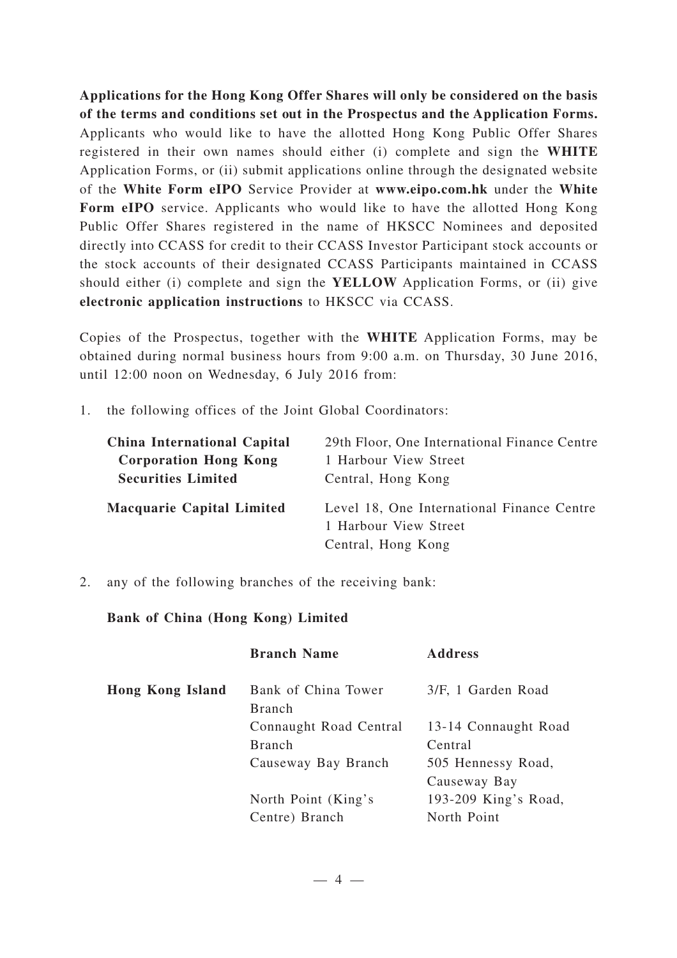**Applications for the Hong Kong Offer Shares will only be considered on the basis of the terms and conditions set out in the Prospectus and the Application Forms.** Applicants who would like to have the allotted Hong Kong Public Offer Shares registered in their own names should either (i) complete and sign the **WHITE** Application Forms, or (ii) submit applications online through the designated website of the **White Form eIPO** Service Provider at **www.eipo.com.hk** under the **White** Form eIPO service. Applicants who would like to have the allotted Hong Kong Public Offer Shares registered in the name of HKSCC Nominees and deposited directly into CCASS for credit to their CCASS Investor Participant stock accounts or the stock accounts of their designated CCASS Participants maintained in CCASS should either (i) complete and sign the **YELLOW** Application Forms, or (ii) give **electronic application instructions** to HKSCC via CCASS.

Copies of the Prospectus, together with the **WHITE** Application Forms, may be obtained during normal business hours from 9:00 a.m. on Thursday, 30 June 2016, until 12:00 noon on Wednesday, 6 July 2016 from:

1. the following offices of the Joint Global Coordinators:

| <b>China International Capital</b> | 29th Floor, One International Finance Centre                                              |
|------------------------------------|-------------------------------------------------------------------------------------------|
| <b>Corporation Hong Kong</b>       | 1 Harbour View Street                                                                     |
| <b>Securities Limited</b>          | Central, Hong Kong                                                                        |
| <b>Macquarie Capital Limited</b>   | Level 18, One International Finance Centre<br>1 Harbour View Street<br>Central, Hong Kong |

2. any of the following branches of the receiving bank:

## **Bank of China (Hong Kong) Limited**

|                         | <b>Branch Name</b>                   | <b>Address</b>       |
|-------------------------|--------------------------------------|----------------------|
| <b>Hong Kong Island</b> | Bank of China Tower<br><b>Branch</b> | 3/F, 1 Garden Road   |
|                         | Connaught Road Central               | 13-14 Connaught Road |
|                         | <b>Branch</b>                        | Central              |
|                         | Causeway Bay Branch                  | 505 Hennessy Road,   |
|                         |                                      | Causeway Bay         |
|                         | North Point (King's                  | 193-209 King's Road, |
|                         | Centre) Branch                       | North Point          |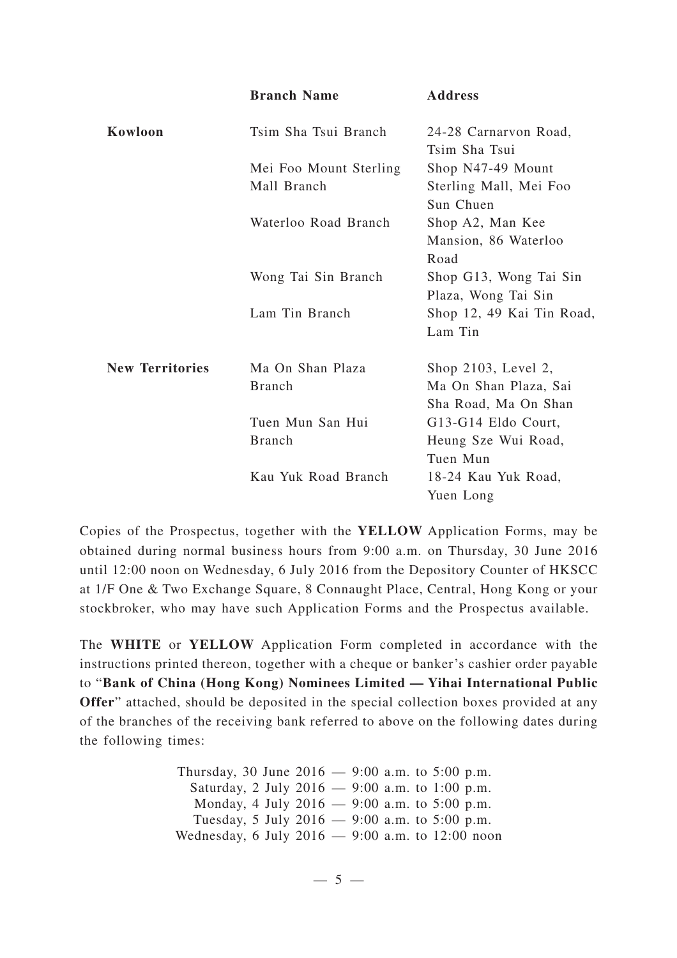|                        | <b>Branch Name</b>     | <b>Address</b>                         |
|------------------------|------------------------|----------------------------------------|
| Kowloon                | Tsim Sha Tsui Branch   | 24-28 Carnarvon Road,<br>Tsim Sha Tsui |
|                        | Mei Foo Mount Sterling | Shop N47-49 Mount                      |
|                        | Mall Branch            | Sterling Mall, Mei Foo<br>Sun Chuen    |
|                        | Waterloo Road Branch   | Shop A2, Man Kee                       |
|                        |                        | Mansion, 86 Waterloo                   |
|                        |                        | Road                                   |
|                        | Wong Tai Sin Branch    | Shop G13, Wong Tai Sin                 |
|                        |                        | Plaza, Wong Tai Sin                    |
|                        | Lam Tin Branch         | Shop 12, 49 Kai Tin Road,              |
|                        |                        | Lam Tin                                |
| <b>New Territories</b> | Ma On Shan Plaza       | Shop 2103, Level 2,                    |
|                        | <b>Branch</b>          | Ma On Shan Plaza, Sai                  |
|                        |                        | Sha Road, Ma On Shan                   |
|                        | Tuen Mun San Hui       | G13-G14 Eldo Court,                    |
|                        | <b>Branch</b>          | Heung Sze Wui Road,                    |
|                        |                        | Tuen Mun                               |
|                        | Kau Yuk Road Branch    | 18-24 Kau Yuk Road,                    |
|                        |                        | Yuen Long                              |

Copies of the Prospectus, together with the **YELLOW** Application Forms, may be obtained during normal business hours from 9:00 a.m. on Thursday, 30 June 2016 until 12:00 noon on Wednesday, 6 July 2016 from the Depository Counter of HKSCC at 1/F One & Two Exchange Square, 8 Connaught Place, Central, Hong Kong or your stockbroker, who may have such Application Forms and the Prospectus available.

The **WHITE** or **YELLOW** Application Form completed in accordance with the instructions printed thereon, together with a cheque or banker 's cashier order payable to "**Bank of China (Hong Kong) Nominees Limited — Yihai International Public Offer**" attached, should be deposited in the special collection boxes provided at any of the branches of the receiving bank referred to above on the following dates during the following times:

> Thursday, 30 June 2016 — 9:00 a.m. to 5:00 p.m. Saturday, 2 July 2016 — 9:00 a.m. to 1:00 p.m. Monday, 4 July 2016 — 9:00 a.m. to 5:00 p.m. Tuesday, 5 July 2016 — 9:00 a.m. to 5:00 p.m. Wednesday, 6 July 2016 — 9:00 a.m. to 12:00 noon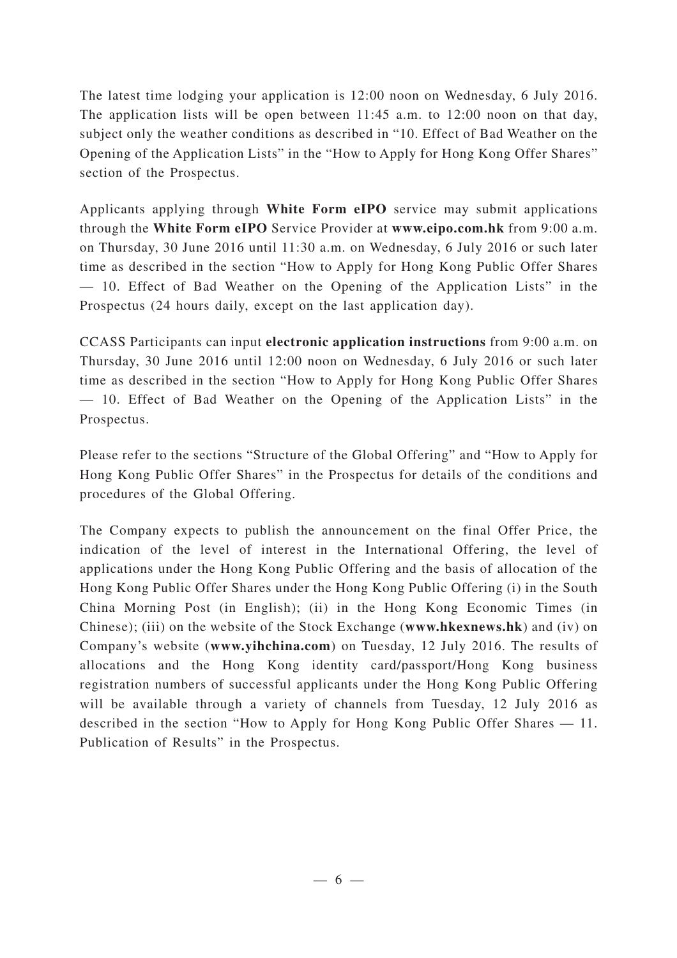The latest time lodging your application is 12:00 noon on Wednesday, 6 July 2016. The application lists will be open between 11:45 a.m. to 12:00 noon on that day, subject only the weather conditions as described in "10. Effect of Bad Weather on the Opening of the Application Lists" in the "How to Apply for Hong Kong Offer Shares" section of the Prospectus.

Applicants applying through **White Form eIPO** service may submit applications through the **White Form eIPO** Service Provider at **www.eipo.com.hk** from 9:00 a.m. on Thursday, 30 June 2016 until 11:30 a.m. on Wednesday, 6 July 2016 or such later time as described in the section "How to Apply for Hong Kong Public Offer Shares — 10. Effect of Bad Weather on the Opening of the Application Lists" in the Prospectus (24 hours daily, except on the last application day).

CCASS Participants can input **electronic application instructions** from 9:00 a.m. on Thursday, 30 June 2016 until 12:00 noon on Wednesday, 6 July 2016 or such later time as described in the section "How to Apply for Hong Kong Public Offer Shares — 10. Effect of Bad Weather on the Opening of the Application Lists" in the Prospectus.

Please refer to the sections "Structure of the Global Offering" and "How to Apply for Hong Kong Public Offer Shares" in the Prospectus for details of the conditions and procedures of the Global Offering.

The Company expects to publish the announcement on the final Offer Price, the indication of the level of interest in the International Offering, the level of applications under the Hong Kong Public Offering and the basis of allocation of the Hong Kong Public Offer Shares under the Hong Kong Public Offering (i) in the South China Morning Post (in English); (ii) in the Hong Kong Economic Times (in Chinese); (iii) on the website of the Stock Exchange (**www.hkexnews.hk**) and (iv) on Company's website (**www.yihchina.com**) on Tuesday, 12 July 2016. The results of allocations and the Hong Kong identity card/passport/Hong Kong business registration numbers of successful applicants under the Hong Kong Public Offering will be available through a variety of channels from Tuesday, 12 July 2016 as described in the section "How to Apply for Hong Kong Public Offer Shares — 11. Publication of Results" in the Prospectus.